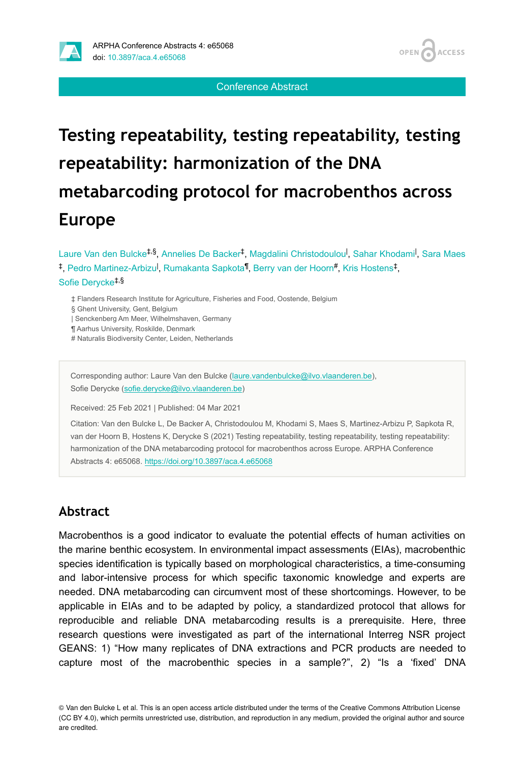

Conference Abstract

# **Testing repeatability, testing repeatability, testing repeatability: harmonization of the DNA metabarcoding protocol for macrobenthos across Europe**

Laure Van den Bulcke<sup>‡,§</sup>, Annelies De Backer<sup>‡</sup>, Magdalini Christodoulou<sup>l</sup>, Sahar Khodami<sup>l</sup>, Sara Maes <sup>‡</sup>, Pedro Martinez-Arbizu<sup>l</sup>, Rumakanta Sapkota<sup>¶</sup>, Berry van der Hoorn<sup>#</sup>, Kris Hostens<sup>‡</sup>, Sofie Derycke ‡,§

- ‡ Flanders Research Institute for Agriculture, Fisheries and Food, Oostende, Belgium
- § Ghent University, Gent, Belgium
- | Senckenberg Am Meer, Wilhelmshaven, Germany
- ¶ Aarhus University, Roskilde, Denmark
- # Naturalis Biodiversity Center, Leiden, Netherlands

Corresponding author: Laure Van den Bulcke [\(laure.vandenbulcke@ilvo.vlaanderen.be\)](mailto:laure.vandenbulcke@ilvo.vlaanderen.be), Sofie Derycke ([sofie.derycke@ilvo.vlaanderen.be\)](mailto:sofie.derycke@ilvo.vlaanderen.be)

Received: 25 Feb 2021 | Published: 04 Mar 2021

Citation: Van den Bulcke L, De Backer A, Christodoulou M, Khodami S, Maes S, Martinez-Arbizu P, Sapkota R, van der Hoorn B, Hostens K, Derycke S (2021) Testing repeatability, testing repeatability, testing repeatability: harmonization of the DNA metabarcoding protocol for macrobenthos across Europe. ARPHA Conference Abstracts 4: e65068.<https://doi.org/10.3897/aca.4.e65068>

### **Abstract**

Macrobenthos is a good indicator to evaluate the potential effects of human activities on the marine benthic ecosystem. In environmental impact assessments (EIAs), macrobenthic species identification is typically based on morphological characteristics, a time-consuming and labor-intensive process for which specific taxonomic knowledge and experts are needed. DNA metabarcoding can circumvent most of these shortcomings. However, to be applicable in EIAs and to be adapted by policy, a standardized protocol that allows for reproducible and reliable DNA metabarcoding results is a prerequisite. Here, three research questions were investigated as part of the international Interreg NSR project GEANS: 1) "How many replicates of DNA extractions and PCR products are needed to capture most of the macrobenthic species in a sample?", 2) "Is a 'fixed' DNA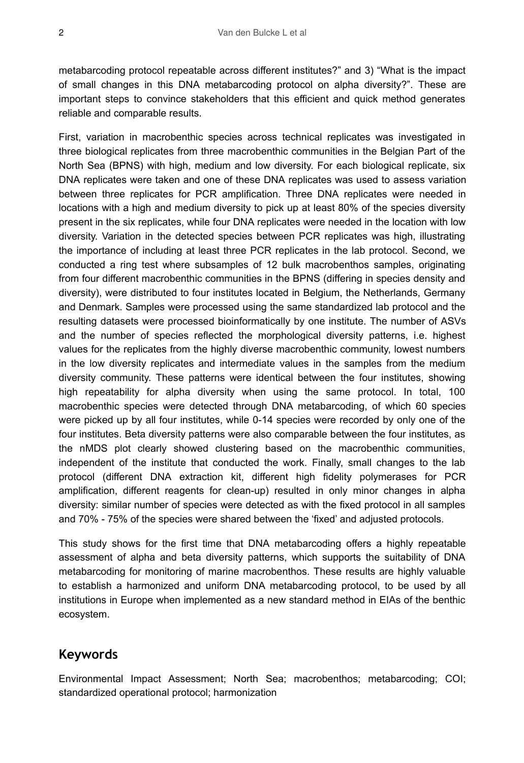metabarcoding protocol repeatable across different institutes?" and 3) "What is the impact of small changes in this DNA metabarcoding protocol on alpha diversity?". These are important steps to convince stakeholders that this efficient and quick method generates reliable and comparable results.

First, variation in macrobenthic species across technical replicates was investigated in three biological replicates from three macrobenthic communities in the Belgian Part of the North Sea (BPNS) with high, medium and low diversity. For each biological replicate, six DNA replicates were taken and one of these DNA replicates was used to assess variation between three replicates for PCR amplification. Three DNA replicates were needed in locations with a high and medium diversity to pick up at least 80% of the species diversity present in the six replicates, while four DNA replicates were needed in the location with low diversity. Variation in the detected species between PCR replicates was high, illustrating the importance of including at least three PCR replicates in the lab protocol. Second, we conducted a ring test where subsamples of 12 bulk macrobenthos samples, originating from four different macrobenthic communities in the BPNS (differing in species density and diversity), were distributed to four institutes located in Belgium, the Netherlands, Germany and Denmark. Samples were processed using the same standardized lab protocol and the resulting datasets were processed bioinformatically by one institute. The number of ASVs and the number of species reflected the morphological diversity patterns, i.e. highest values for the replicates from the highly diverse macrobenthic community, lowest numbers in the low diversity replicates and intermediate values in the samples from the medium diversity community. These patterns were identical between the four institutes, showing high repeatability for alpha diversity when using the same protocol. In total, 100 macrobenthic species were detected through DNA metabarcoding, of which 60 species were picked up by all four institutes, while 0-14 species were recorded by only one of the four institutes. Beta diversity patterns were also comparable between the four institutes, as the nMDS plot clearly showed clustering based on the macrobenthic communities, independent of the institute that conducted the work. Finally, small changes to the lab protocol (different DNA extraction kit, different high fidelity polymerases for PCR amplification, different reagents for clean-up) resulted in only minor changes in alpha diversity: similar number of species were detected as with the fixed protocol in all samples and 70% - 75% of the species were shared between the 'fixed' and adjusted protocols.

This study shows for the first time that DNA metabarcoding offers a highly repeatable assessment of alpha and beta diversity patterns, which supports the suitability of DNA metabarcoding for monitoring of marine macrobenthos. These results are highly valuable to establish a harmonized and uniform DNA metabarcoding protocol, to be used by all institutions in Europe when implemented as a new standard method in EIAs of the benthic ecosystem.

#### **Keywords**

Environmental Impact Assessment; North Sea; macrobenthos; metabarcoding; COI; standardized operational protocol; harmonization